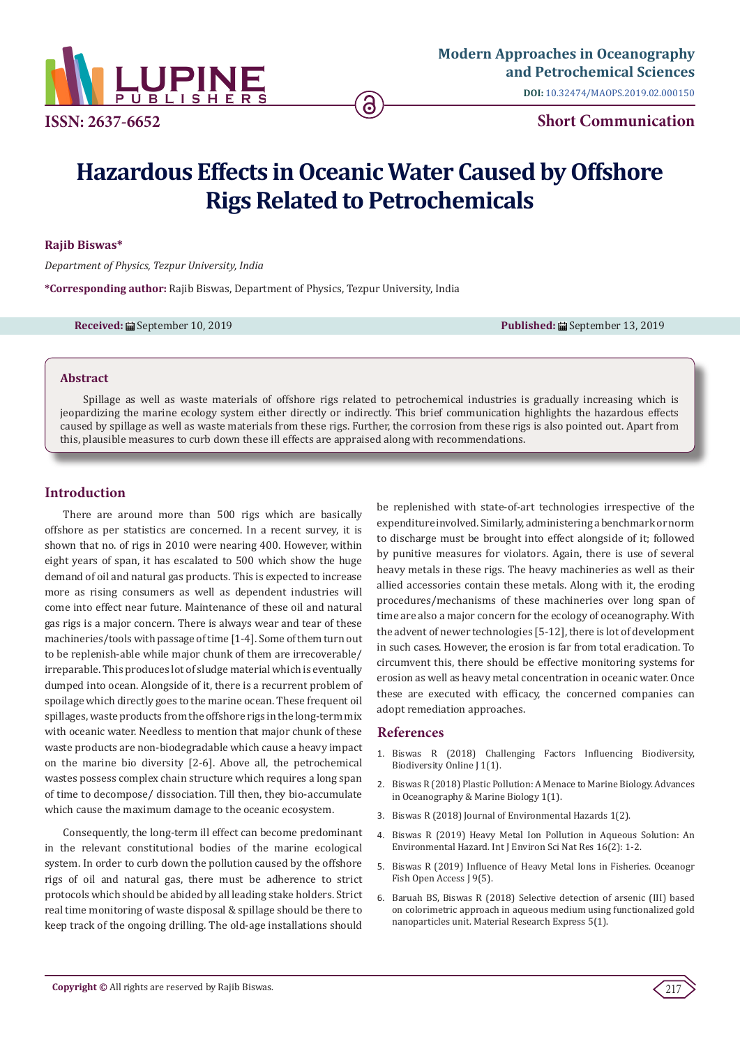

**DOI:** [10.32474/MAOPS.2019.02.0001](http://dx.doi.org/10.32474/MAOPS.2019.02.000150)50

# **Hazardous Effects in Oceanic Water Caused by Offshore Rigs Related to Petrochemicals**

#### **Rajib Biswas\***

*Department of Physics, Tezpur University, India*

**\*Corresponding author:** Rajib Biswas, Department of Physics, Tezpur University, India

**Received:** ■ September 10, 2019 **Published:** ■ September 13, 2019

#### **Abstract**

 Spillage as well as waste materials of offshore rigs related to petrochemical industries is gradually increasing which is jeopardizing the marine ecology system either directly or indirectly. This brief communication highlights the hazardous effects caused by spillage as well as waste materials from these rigs. Further, the corrosion from these rigs is also pointed out. Apart from this, plausible measures to curb down these ill effects are appraised along with recommendations.

## **Introduction**

There are around more than 500 rigs which are basically offshore as per statistics are concerned. In a recent survey, it is shown that no. of rigs in 2010 were nearing 400. However, within eight years of span, it has escalated to 500 which show the huge demand of oil and natural gas products. This is expected to increase more as rising consumers as well as dependent industries will come into effect near future. Maintenance of these oil and natural gas rigs is a major concern. There is always wear and tear of these machineries/tools with passage of time [1-4]. Some of them turn out to be replenish-able while major chunk of them are irrecoverable/ irreparable. This produces lot of sludge material which is eventually dumped into ocean. Alongside of it, there is a recurrent problem of spoilage which directly goes to the marine ocean. These frequent oil spillages, waste products from the offshore rigs in the long-term mix with oceanic water. Needless to mention that major chunk of these waste products are non-biodegradable which cause a heavy impact on the marine bio diversity [2-6]. Above all, the petrochemical wastes possess complex chain structure which requires a long span of time to decompose/ dissociation. Till then, they bio-accumulate which cause the maximum damage to the oceanic ecosystem.

Consequently, the long-term ill effect can become predominant in the relevant constitutional bodies of the marine ecological system. In order to curb down the pollution caused by the offshore rigs of oil and natural gas, there must be adherence to strict protocols which should be abided by all leading stake holders. Strict real time monitoring of waste disposal & spillage should be there to keep track of the ongoing drilling. The old-age installations should

be replenished with state-of-art technologies irrespective of the expenditure involved. Similarly, administering a benchmark or norm to discharge must be brought into effect alongside of it; followed by punitive measures for violators. Again, there is use of several heavy metals in these rigs. The heavy machineries as well as their allied accessories contain these metals. Along with it, the eroding procedures/mechanisms of these machineries over long span of time are also a major concern for the ecology of oceanography. With the advent of newer technologies [5-12], there is lot of development in such cases. However, the erosion is far from total eradication. To circumvent this, there should be effective monitoring systems for erosion as well as heavy metal concentration in oceanic water. Once these are executed with efficacy, the concerned companies can adopt remediation approaches.

# **References**

- 1. [Biswas R \(2018\) Challenging Factors Influencing Biodiversity,](https://crimsonpublishers.com/boj/fulltext/BOJ.000502.php) [Biodiversity Online J 1\(1\).](https://crimsonpublishers.com/boj/fulltext/BOJ.000502.php)
- 2. [Biswas R \(2018\) Plastic Pollution: A Menace to Marine Biology. Advances](https://irispublishers.com/aomb/abstract/plastic-pollution-a-menace-to-marine-biology.ID.000505.php) [in Oceanography & Marine Biology 1\(1\).](https://irispublishers.com/aomb/abstract/plastic-pollution-a-menace-to-marine-biology.ID.000505.php)
- 3. Biswas R (2018) Journal of Environmental Hazards 1(2).
- 4. [Biswas R \(2019\) Heavy Metal Ion Pollution in Aqueous Solution: An](https://juniperpublishers.com/ijesnr/pdf/IJESNR.MS.ID.555933.pdf) [Environmental Hazard. Int J Environ Sci Nat Res 16\(2\): 1-2.](https://juniperpublishers.com/ijesnr/pdf/IJESNR.MS.ID.555933.pdf)
- 5. [Biswas R \(2019\) Influence of Heavy Metal Ions in Fisheries. Oceanogr](https://juniperpublishers.com/ofoaj/pdf/OFOAJ.MS.ID.555771.pdf) [Fish Open Access J 9\(5\).](https://juniperpublishers.com/ofoaj/pdf/OFOAJ.MS.ID.555771.pdf)
- 6. [Baruah BS, Biswas R \(2018\) Selective detection of arsenic \(III\) based](https://iopscience.iop.org/article/10.1088/2053-1591/aaa661) [on colorimetric approach in aqueous medium using functionalized gold](https://iopscience.iop.org/article/10.1088/2053-1591/aaa661) [nanoparticles unit. Material Research Express 5\(1\).](https://iopscience.iop.org/article/10.1088/2053-1591/aaa661)